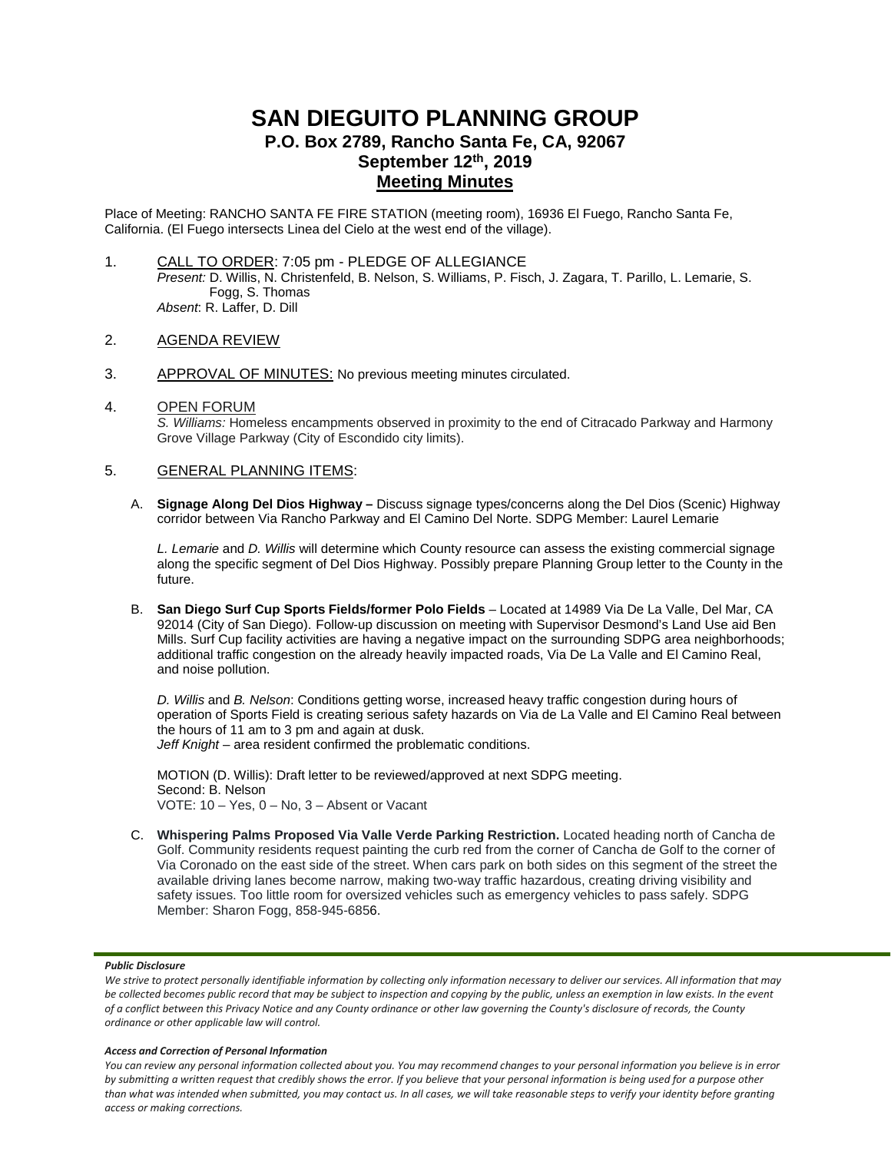# **SAN DIEGUITO PLANNING GROUP P.O. Box 2789, Rancho Santa Fe, CA, 92067 September 12th, 2019 Meeting Minutes**

Place of Meeting: RANCHO SANTA FE FIRE STATION (meeting room), 16936 El Fuego, Rancho Santa Fe, California. (El Fuego intersects Linea del Cielo at the west end of the village).

- 1. CALL TO ORDER: 7:05 pm PLEDGE OF ALLEGIANCE *Present:* D. Willis, N. Christenfeld, B. Nelson, S. Williams, P. Fisch, J. Zagara, T. Parillo, L. Lemarie, S. Fogg, S. Thomas *Absent*: R. Laffer, D. Dill
- 2. AGENDA REVIEW
- 3. APPROVAL OF MINUTES: No previous meeting minutes circulated.
- 4. OPEN FORUM *S. Williams:* Homeless encampments observed in proximity to the end of Citracado Parkway and Harmony Grove Village Parkway (City of Escondido city limits).

## 5. GENERAL PLANNING ITEMS:

A. **Signage Along Del Dios Highway –** Discuss signage types/concerns along the Del Dios (Scenic) Highway corridor between Via Rancho Parkway and El Camino Del Norte. SDPG Member: Laurel Lemarie

*L. Lemarie* and *D. Willis* will determine which County resource can assess the existing commercial signage along the specific segment of Del Dios Highway. Possibly prepare Planning Group letter to the County in the future.

B. **San Diego Surf Cup Sports Fields/former Polo Fields** – Located at 14989 Via De La Valle, Del Mar, CA 92014 (City of San Diego). Follow-up discussion on meeting with Supervisor Desmond's Land Use aid Ben Mills. Surf Cup facility activities are having a negative impact on the surrounding SDPG area neighborhoods; additional traffic congestion on the already heavily impacted roads, Via De La Valle and El Camino Real, and noise pollution.

*D. Willis* and *B. Nelson*: Conditions getting worse, increased heavy traffic congestion during hours of operation of Sports Field is creating serious safety hazards on Via de La Valle and El Camino Real between the hours of 11 am to 3 pm and again at dusk. *Jeff Knight* – area resident confirmed the problematic conditions.

MOTION (D. Willis): Draft letter to be reviewed/approved at next SDPG meeting. Second: B. Nelson VOTE: 10 – Yes, 0 – No, 3 – Absent or Vacant

C. **Whispering Palms Proposed Via Valle Verde Parking Restriction.** Located heading north of Cancha de Golf. Community residents request painting the curb red from the corner of Cancha de Golf to the corner of Via Coronado on the east side of the street. When cars park on both sides on this segment of the street the available driving lanes become narrow, making two-way traffic hazardous, creating driving visibility and safety issues. Too little room for oversized vehicles such as emergency vehicles to pass safely. SDPG Member: Sharon Fogg, 858-945-6856.

## *Public Disclosure*

#### *Access and Correction of Personal Information*

*You can review any personal information collected about you. You may recommend changes to your personal information you believe is in error by submitting a written request that credibly shows the error. If you believe that your personal information is being used for a purpose other than what was intended when submitted, you may contact us. In all cases, we will take reasonable steps to verify your identity before granting access or making corrections.*

We strive to protect personally identifiable information by collecting only information necessary to deliver our services. All information that may *be collected becomes public record that may be subject to inspection and copying by the public, unless an exemption in law exists. In the event of a conflict between this Privacy Notice and any County ordinance or other law governing the County's disclosure of records, the County ordinance or other applicable law will control.*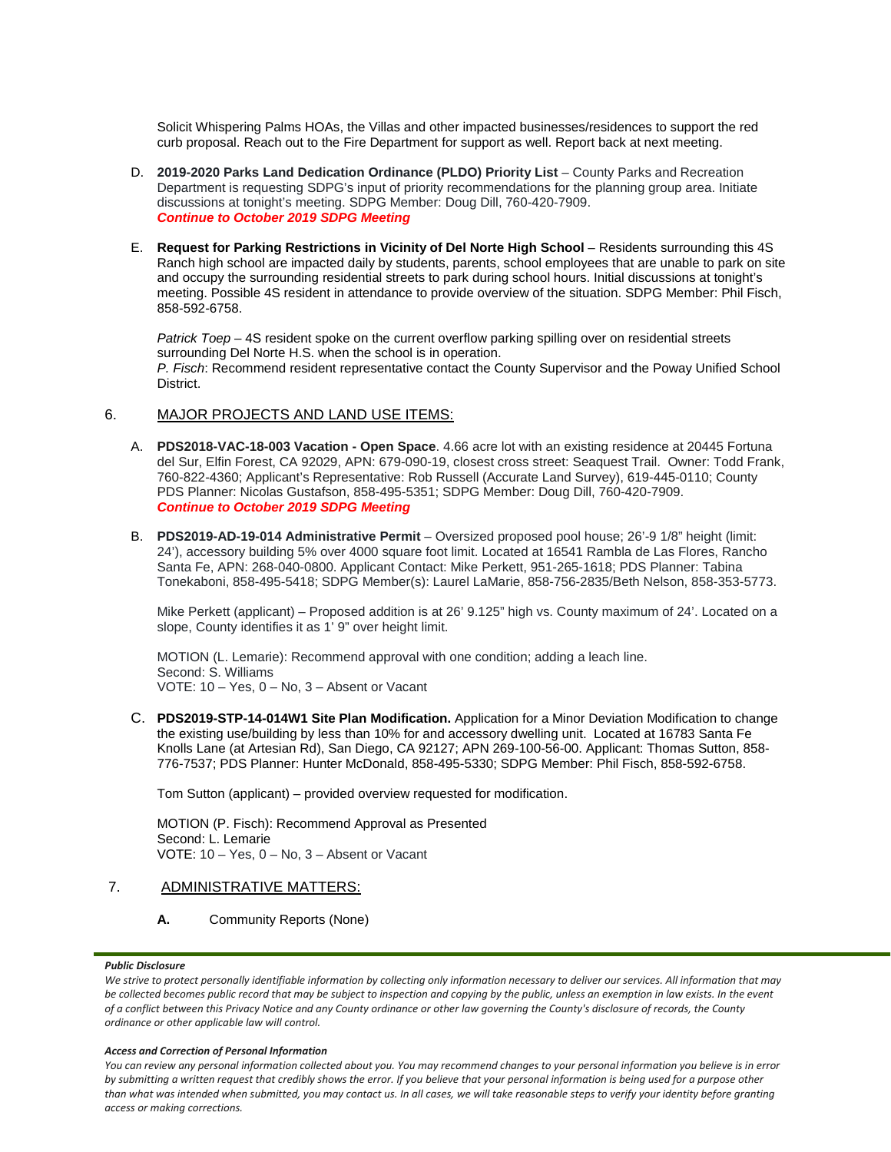Solicit Whispering Palms HOAs, the Villas and other impacted businesses/residences to support the red curb proposal. Reach out to the Fire Department for support as well. Report back at next meeting.

- D. **2019-2020 Parks Land Dedication Ordinance (PLDO) Priority List** County Parks and Recreation Department is requesting SDPG's input of priority recommendations for the planning group area. Initiate discussions at tonight's meeting. SDPG Member: Doug Dill, 760-420-7909. *Continue to October 2019 SDPG Meeting*
- E. **Request for Parking Restrictions in Vicinity of Del Norte High School** Residents surrounding this 4S Ranch high school are impacted daily by students, parents, school employees that are unable to park on site and occupy the surrounding residential streets to park during school hours. Initial discussions at tonight's meeting. Possible 4S resident in attendance to provide overview of the situation. SDPG Member: Phil Fisch, 858-592-6758.

*Patrick Toep* – 4S resident spoke on the current overflow parking spilling over on residential streets surrounding Del Norte H.S. when the school is in operation. *P. Fisch*: Recommend resident representative contact the County Supervisor and the Poway Unified School District.

## 6. MAJOR PROJECTS AND LAND USE ITEMS:

- A. **PDS2018-VAC-18-003 Vacation - Open Space**. 4.66 acre lot with an existing residence at 20445 Fortuna del Sur, Elfin Forest, CA 92029, APN: 679-090-19, closest cross street: Seaquest Trail. Owner: Todd Frank, 760-822-4360; Applicant's Representative: Rob Russell (Accurate Land Survey), 619-445-0110; County PDS Planner: Nicolas Gustafson, 858-495-5351; SDPG Member: Doug Dill, 760-420-7909. *Continue to October 2019 SDPG Meeting*
- B. **PDS2019-AD-19-014 Administrative Permit** Oversized proposed pool house; 26'-9 1/8" height (limit: 24'), accessory building 5% over 4000 square foot limit. Located at 16541 Rambla de Las Flores, Rancho Santa Fe, APN: 268-040-0800. Applicant Contact: Mike Perkett, 951-265-1618; PDS Planner: Tabina Tonekaboni, 858-495-5418; SDPG Member(s): Laurel LaMarie, 858-756-2835/Beth Nelson, 858-353-5773.

Mike Perkett (applicant) – Proposed addition is at 26' 9.125" high vs. County maximum of 24'. Located on a slope, County identifies it as 1' 9" over height limit.

MOTION (L. Lemarie): Recommend approval with one condition; adding a leach line. Second: S. Williams VOTE: 10 – Yes, 0 – No, 3 – Absent or Vacant

C. **PDS2019-STP-14-014W1 Site Plan Modification.** Application for a Minor Deviation Modification to change the existing use/building by less than 10% for and accessory dwelling unit. Located at 16783 Santa Fe Knolls Lane (at Artesian Rd), San Diego, CA 92127; APN 269-100-56-00. Applicant: Thomas Sutton, 858- 776-7537; PDS Planner: Hunter McDonald, 858-495-5330; SDPG Member: Phil Fisch, 858-592-6758.

Tom Sutton (applicant) – provided overview requested for modification.

MOTION (P. Fisch): Recommend Approval as Presented Second: L. Lemarie VOTE: 10 – Yes, 0 – No, 3 – Absent or Vacant

## 7. ADMINISTRATIVE MATTERS:

## **A.** Community Reports (None)

## *Public Disclosure*

#### *Access and Correction of Personal Information*

*You can review any personal information collected about you. You may recommend changes to your personal information you believe is in error by submitting a written request that credibly shows the error. If you believe that your personal information is being used for a purpose other than what was intended when submitted, you may contact us. In all cases, we will take reasonable steps to verify your identity before granting access or making corrections.*

We strive to protect personally identifiable information by collecting only information necessary to deliver our services. All information that may *be collected becomes public record that may be subject to inspection and copying by the public, unless an exemption in law exists. In the event of a conflict between this Privacy Notice and any County ordinance or other law governing the County's disclosure of records, the County ordinance or other applicable law will control.*